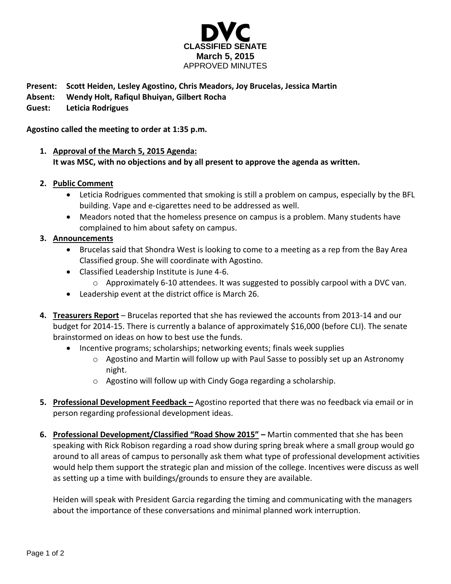

## **Present: Scott Heiden, Lesley Agostino, Chris Meadors, Joy Brucelas, Jessica Martin**

**Absent: Wendy Holt, Rafiqul Bhuiyan, Gilbert Rocha**

**Guest: Leticia Rodrigues**

#### **Agostino called the meeting to order at 1:35 p.m.**

# **1. Approval of the March 5, 2015 Agenda: It was MSC, with no objections and by all present to approve the agenda as written.**

### **2. Public Comment**

- Leticia Rodrigues commented that smoking is still a problem on campus, especially by the BFL building. Vape and e-cigarettes need to be addressed as well.
- Meadors noted that the homeless presence on campus is a problem. Many students have complained to him about safety on campus.

### **3. Announcements**

- Brucelas said that Shondra West is looking to come to a meeting as a rep from the Bay Area Classified group. She will coordinate with Agostino.
- Classified Leadership Institute is June 4-6.
	- $\circ$  Approximately 6-10 attendees. It was suggested to possibly carpool with a DVC van.
- Leadership event at the district office is March 26.
- **4. Treasurers Report** Brucelas reported that she has reviewed the accounts from 2013-14 and our budget for 2014-15. There is currently a balance of approximately \$16,000 (before CLI). The senate brainstormed on ideas on how to best use the funds.
	- Incentive programs; scholarships; networking events; finals week supplies
		- $\circ$  Agostino and Martin will follow up with Paul Sasse to possibly set up an Astronomy night.
		- o Agostino will follow up with Cindy Goga regarding a scholarship.
- **5. Professional Development Feedback –** Agostino reported that there was no feedback via email or in person regarding professional development ideas.
- **6. Professional Development/Classified "Road Show 2015" –** Martin commented that she has been speaking with Rick Robison regarding a road show during spring break where a small group would go around to all areas of campus to personally ask them what type of professional development activities would help them support the strategic plan and mission of the college. Incentives were discuss as well as setting up a time with buildings/grounds to ensure they are available.

Heiden will speak with President Garcia regarding the timing and communicating with the managers about the importance of these conversations and minimal planned work interruption.